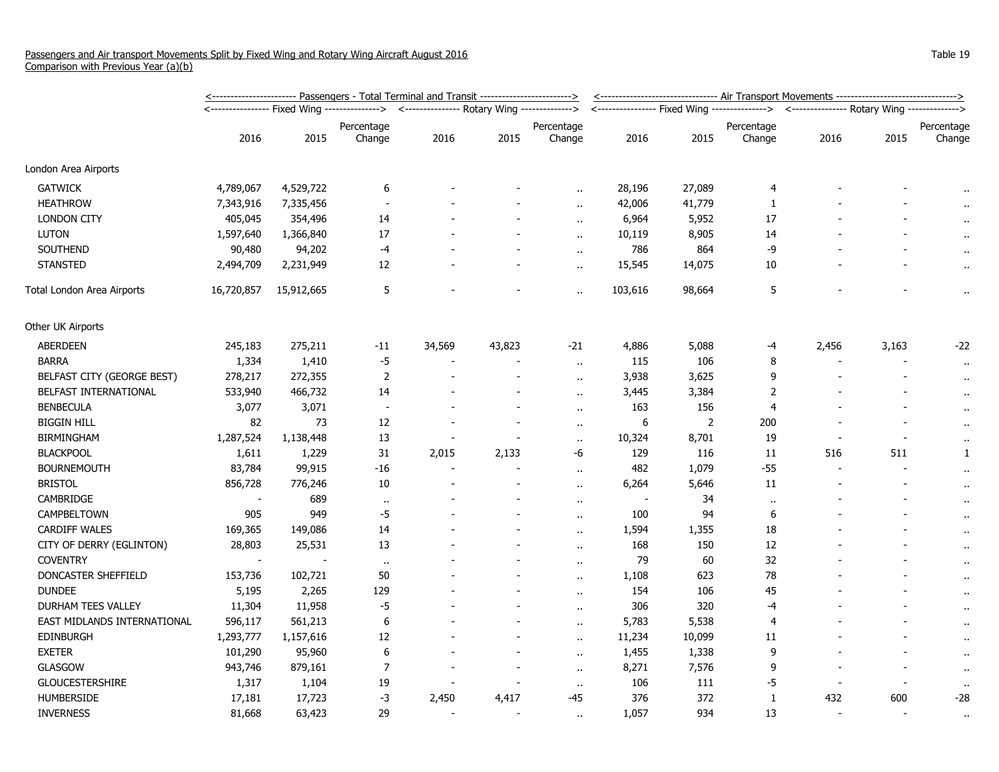|                             | <u>&lt;----------------------- Passengers - Total Terminal and Transit ------------------------&gt;</u> |            |                          |                                              |                          |                          |         | <-------------------------------- Air Transport Movements -------------------------------> |                                                                                          |                          |       |                      |  |
|-----------------------------|---------------------------------------------------------------------------------------------------------|------------|--------------------------|----------------------------------------------|--------------------------|--------------------------|---------|--------------------------------------------------------------------------------------------|------------------------------------------------------------------------------------------|--------------------------|-------|----------------------|--|
|                             |                                                                                                         |            | --------------->         | <--------------- Rotary Wing --------------> |                          |                          |         |                                                                                            | <---------------- Fixed Wing --------------> <--------------- Rotary Wing -------------> |                          |       |                      |  |
|                             |                                                                                                         |            | Percentage               |                                              |                          | Percentage               |         |                                                                                            | Percentage                                                                               |                          |       | Percentage           |  |
|                             | 2016                                                                                                    | 2015       | Change                   | 2016                                         | 2015                     | Change                   | 2016    | 2015                                                                                       | Change                                                                                   | 2016                     | 2015  | Change               |  |
| London Area Airports        |                                                                                                         |            |                          |                                              |                          |                          |         |                                                                                            |                                                                                          |                          |       |                      |  |
| <b>GATWICK</b>              | 4,789,067                                                                                               | 4,529,722  | 6                        |                                              |                          | ٠.                       | 28,196  | 27,089                                                                                     | 4                                                                                        |                          |       |                      |  |
| <b>HEATHROW</b>             | 7,343,916                                                                                               | 7,335,456  |                          |                                              |                          | $\ddot{\phantom{a}}$     | 42,006  | 41,779                                                                                     | 1                                                                                        |                          |       |                      |  |
| <b>LONDON CITY</b>          | 405,045                                                                                                 | 354,496    | 14                       |                                              |                          | $\ddot{\phantom{a}}$     | 6,964   | 5,952                                                                                      | 17                                                                                       |                          |       |                      |  |
| <b>LUTON</b>                | 1,597,640                                                                                               | 1,366,840  | 17                       |                                              |                          | $\ddot{\phantom{a}}$     | 10,119  | 8,905                                                                                      | 14                                                                                       |                          |       |                      |  |
| SOUTHEND                    | 90,480                                                                                                  | 94,202     | -4                       |                                              |                          | $\alpha$                 | 786     | 864                                                                                        | -9                                                                                       |                          |       | $\cdot$ .            |  |
| <b>STANSTED</b>             | 2,494,709                                                                                               | 2,231,949  | 12                       |                                              |                          | $\sim$                   | 15,545  | 14,075                                                                                     | 10                                                                                       |                          |       | $\cdot$ .            |  |
| Total London Area Airports  | 16,720,857                                                                                              | 15,912,665 | 5                        |                                              |                          | $\ddot{\phantom{a}}$     | 103,616 | 98,664                                                                                     | 5                                                                                        |                          |       | $\alpha$             |  |
| Other UK Airports           |                                                                                                         |            |                          |                                              |                          |                          |         |                                                                                            |                                                                                          |                          |       |                      |  |
| ABERDEEN                    | 245,183                                                                                                 | 275,211    | -11                      | 34,569                                       | 43,823                   | $-21$                    | 4,886   | 5,088                                                                                      | -4                                                                                       | 2,456                    | 3,163 | $-22$                |  |
| <b>BARRA</b>                | 1,334                                                                                                   | 1,410      | $-5$                     |                                              |                          | $\alpha$                 | 115     | 106                                                                                        | 8                                                                                        |                          |       | $\bullet$            |  |
| BELFAST CITY (GEORGE BEST)  | 278,217                                                                                                 | 272,355    | $\overline{2}$           |                                              | $\overline{\phantom{a}}$ | $\ddot{\phantom{a}}$     | 3,938   | 3,625                                                                                      | 9                                                                                        |                          |       | $\bullet$ .          |  |
| BELFAST INTERNATIONAL       | 533,940                                                                                                 | 466,732    | 14                       |                                              |                          | $\ddot{\phantom{a}}$     | 3,445   | 3,384                                                                                      | $\overline{2}$                                                                           |                          |       | $\alpha$             |  |
| <b>BENBECULA</b>            | 3,077                                                                                                   | 3,071      | $\overline{\phantom{a}}$ |                                              |                          | $\mathbf{r}$ .           | 163     | 156                                                                                        | $\overline{4}$                                                                           |                          |       | $\cdot$ .            |  |
| <b>BIGGIN HILL</b>          | 82                                                                                                      | 73         | 12                       |                                              |                          | $\sim$                   | 6       | 2                                                                                          | 200                                                                                      |                          |       | $\bullet$            |  |
| <b>BIRMINGHAM</b>           | 1,287,524                                                                                               | 1,138,448  | 13                       |                                              |                          | $\ddot{\phantom{1}}$     | 10,324  | 8,701                                                                                      | 19                                                                                       |                          |       |                      |  |
| <b>BLACKPOOL</b>            | 1,611                                                                                                   | 1,229      | 31                       | 2,015                                        | 2,133                    | -6                       | 129     | 116                                                                                        | 11                                                                                       | 516                      | 511   | $\mathbf{1}$         |  |
| <b>BOURNEMOUTH</b>          | 83,784                                                                                                  | 99,915     | $-16$                    |                                              |                          | $\ddot{\phantom{a}}$     | 482     | 1,079                                                                                      | $-55$                                                                                    | $\overline{\phantom{a}}$ |       | $\sim$               |  |
| <b>BRISTOL</b>              | 856,728                                                                                                 | 776,246    | 10                       |                                              |                          | $\ddot{\phantom{1}}$     | 6,264   | 5,646                                                                                      | 11                                                                                       |                          |       | $\cdot$ .            |  |
| CAMBRIDGE                   | $\sim$                                                                                                  | 689        | $\mathbf{u}$             |                                              |                          | $\ddot{\phantom{1}}$     |         | 34                                                                                         | $\ddot{\phantom{1}}$                                                                     |                          |       | $\cdot$ .            |  |
| CAMPBELTOWN                 | 905                                                                                                     | 949        | $-5$                     |                                              |                          | $\sim$                   | 100     | 94                                                                                         | 6                                                                                        |                          |       | $\alpha$             |  |
| <b>CARDIFF WALES</b>        | 169,365                                                                                                 | 149,086    | 14                       |                                              |                          | $\ddot{\phantom{a}}$     | 1,594   | 1,355                                                                                      | 18                                                                                       |                          |       | $\alpha$             |  |
| CITY OF DERRY (EGLINTON)    | 28,803                                                                                                  | 25,531     | 13                       |                                              |                          | $\overline{\phantom{a}}$ | 168     | 150                                                                                        | 12                                                                                       |                          |       | $\alpha$             |  |
| <b>COVENTRY</b>             |                                                                                                         |            | $\sim$                   |                                              |                          | $\ddot{\phantom{1}}$     | 79      | 60                                                                                         | 32                                                                                       |                          |       | $\cdot$ .            |  |
| DONCASTER SHEFFIELD         | 153,736                                                                                                 | 102,721    | 50                       |                                              |                          | $\mathbf{r}$ .           | 1,108   | 623                                                                                        | 78                                                                                       |                          |       | $\cdot$ .            |  |
| <b>DUNDEE</b>               | 5,195                                                                                                   | 2,265      | 129                      |                                              |                          | $\mathbf{r}$ .           | 154     | 106                                                                                        | 45                                                                                       |                          |       | $\bullet$ .          |  |
| DURHAM TEES VALLEY          | 11,304                                                                                                  | 11,958     | $-5$                     |                                              |                          | $\ddot{\phantom{a}}$     | 306     | 320                                                                                        | -4                                                                                       |                          |       | $\ddot{\phantom{1}}$ |  |
| EAST MIDLANDS INTERNATIONAL | 596,117                                                                                                 | 561,213    | 6                        |                                              |                          | $\ddot{\phantom{a}}$     | 5,783   | 5,538                                                                                      | 4                                                                                        |                          |       | $\alpha$             |  |
| <b>EDINBURGH</b>            | 1,293,777                                                                                               | 1,157,616  | 12                       |                                              |                          | $\ddotsc$                | 11,234  | 10,099                                                                                     | 11                                                                                       |                          |       | $\bullet$            |  |
| <b>EXETER</b>               | 101,290                                                                                                 | 95,960     | 6                        |                                              |                          | $\ddot{\phantom{a}}$     | 1,455   | 1,338                                                                                      | 9                                                                                        |                          |       | $\alpha$             |  |
| <b>GLASGOW</b>              | 943,746                                                                                                 | 879,161    | $\overline{7}$           |                                              |                          | $\ddot{\phantom{a}}$     | 8,271   | 7,576                                                                                      | 9                                                                                        |                          |       | $\bullet$ .          |  |
| <b>GLOUCESTERSHIRE</b>      | 1,317                                                                                                   | 1,104      | 19                       |                                              |                          | $\cdot$ .                | 106     | 111                                                                                        | $-5$                                                                                     |                          |       | $\sim$               |  |
| <b>HUMBERSIDE</b>           | 17,181                                                                                                  | 17,723     | -3                       | 2,450                                        | 4,417                    | $-45$                    | 376     | 372                                                                                        | 1                                                                                        | 432                      | 600   | $-28$                |  |
| <b>INVERNESS</b>            | 81,668                                                                                                  | 63,423     | 29                       |                                              |                          | $\ddot{\phantom{a}}$     | 1,057   | 934                                                                                        | 13                                                                                       | $\blacksquare$           |       | $\sim$               |  |